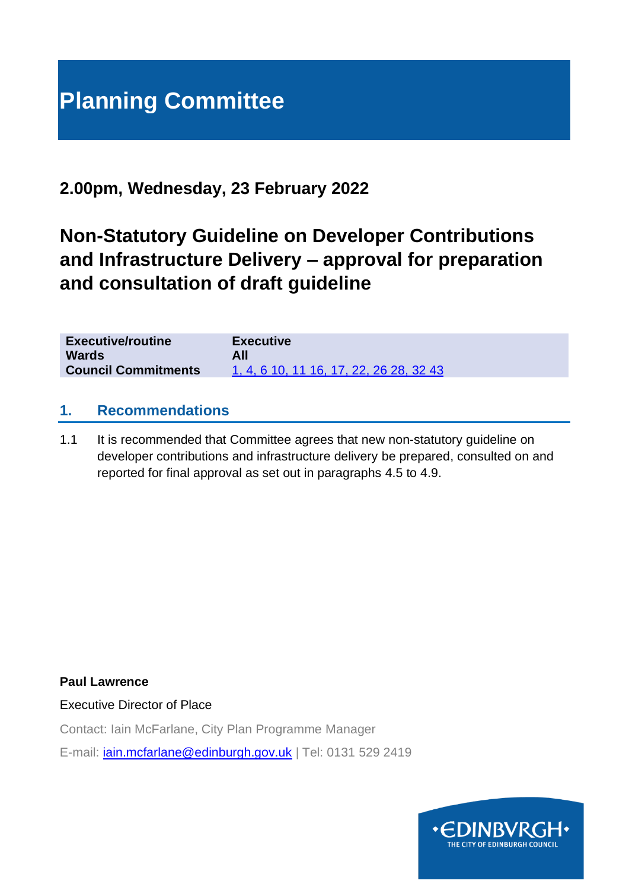# **Planning Committee**

## **2.00pm, Wednesday, 23 February 2022**

# **Non-Statutory Guideline on Developer Contributions and Infrastructure Delivery – approval for preparation and consultation of draft guideline**

| <b>Executive/routine</b>   | <b>Executive</b>                        |
|----------------------------|-----------------------------------------|
| <b>Wards</b>               | All                                     |
| <b>Council Commitments</b> | 1, 4, 6 10, 11 16, 17, 22, 26 28, 32 43 |

#### **1. Recommendations**

1.1 It is recommended that Committee agrees that new non-statutory guideline on developer contributions and infrastructure delivery be prepared, consulted on and reported for final approval as set out in paragraphs 4.5 to 4.9.

**Paul Lawrence**

Executive Director of Place

Contact: Iain McFarlane, City Plan Programme Manager

E-mail: [iain.mcfarlane@edinburgh.gov.uk](mailto:iain.mcfarlane@edinburgh.gov.uk) | Tel: 0131 529 2419

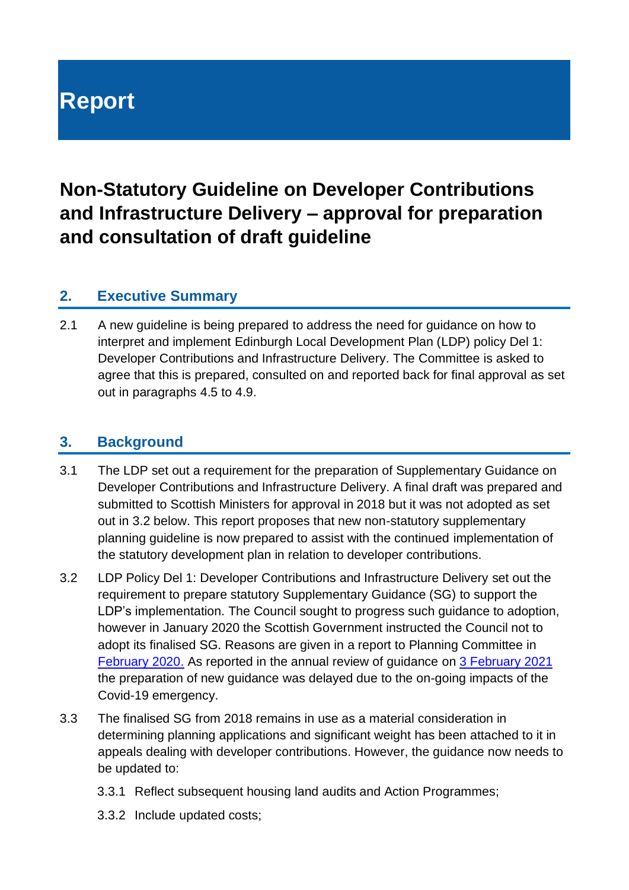# **Report**

# **Non-Statutory Guideline on Developer Contributions and Infrastructure Delivery – approval for preparation and consultation of draft guideline**

#### **2. Executive Summary**

2.1 A new guideline is being prepared to address the need for guidance on how to interpret and implement Edinburgh Local Development Plan (LDP) policy Del 1: Developer Contributions and Infrastructure Delivery. The Committee is asked to agree that this is prepared, consulted on and reported back for final approval as set out in paragraphs 4.5 to 4.9.

#### **3. Background**

- 3.1 The LDP set out a requirement for the preparation of Supplementary Guidance on Developer Contributions and Infrastructure Delivery. A final draft was prepared and submitted to Scottish Ministers for approval in 2018 but it was not adopted as set out in 3.2 below. This report proposes that new non-statutory supplementary planning guideline is now prepared to assist with the continued implementation of the statutory development plan in relation to developer contributions.
- 3.2 LDP Policy Del 1: Developer Contributions and Infrastructure Delivery set out the requirement to prepare statutory Supplementary Guidance (SG) to support the LDP's implementation. The Council sought to progress such guidance to adoption, however in January 2020 the Scottish Government instructed the Council not to adopt its finalised SG. Reasons are given in a report to Planning Committee in [February 2020.](https://democracy.edinburgh.gov.uk/documents/s14473/6.2%20Supplementary%20Guidance%20on%20Developer%20Contributions%20and%20Infrastructure%20Delivery.pdf) As reported in the annual review of guidance on [3 February 2021](https://democracy.edinburgh.gov.uk/documents/s31076/Item%207.1%20-%20Annual%20Review%20of%20Guidance.pdf) the preparation of new guidance was delayed due to the on-going impacts of the Covid-19 emergency.
- 3.3 The finalised SG from 2018 remains in use as a material consideration in determining planning applications and significant weight has been attached to it in appeals dealing with developer contributions. However, the guidance now needs to be updated to:
	- 3.3.1 Reflect subsequent housing land audits and Action Programmes;
	- 3.3.2 Include updated costs;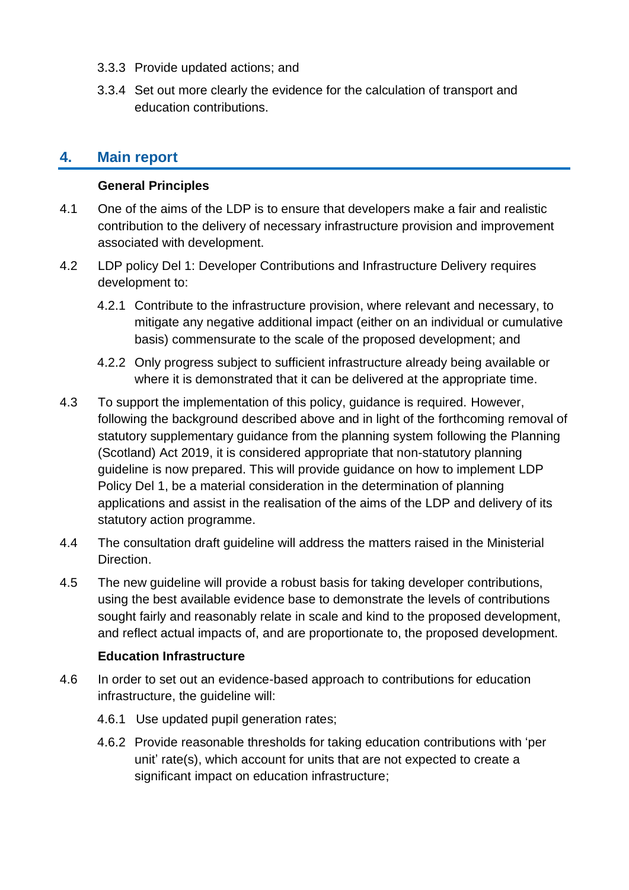- 3.3.3 Provide updated actions; and
- 3.3.4 Set out more clearly the evidence for the calculation of transport and education contributions.

#### **4. Main report**

#### **General Principles**

- 4.1 One of the aims of the LDP is to ensure that developers make a fair and realistic contribution to the delivery of necessary infrastructure provision and improvement associated with development.
- 4.2 LDP policy Del 1: Developer Contributions and Infrastructure Delivery requires development to:
	- 4.2.1 Contribute to the infrastructure provision, where relevant and necessary, to mitigate any negative additional impact (either on an individual or cumulative basis) commensurate to the scale of the proposed development; and
	- 4.2.2 Only progress subject to sufficient infrastructure already being available or where it is demonstrated that it can be delivered at the appropriate time.
- 4.3 To support the implementation of this policy, guidance is required. However, following the background described above and in light of the forthcoming removal of statutory supplementary guidance from the planning system following the Planning (Scotland) Act 2019, it is considered appropriate that non-statutory planning guideline is now prepared. This will provide guidance on how to implement LDP Policy Del 1, be a material consideration in the determination of planning applications and assist in the realisation of the aims of the LDP and delivery of its statutory action programme.
- 4.4 The consultation draft guideline will address the matters raised in the Ministerial Direction.
- 4.5 The new guideline will provide a robust basis for taking developer contributions, using the best available evidence base to demonstrate the levels of contributions sought fairly and reasonably relate in scale and kind to the proposed development, and reflect actual impacts of, and are proportionate to, the proposed development.

#### **Education Infrastructure**

- 4.6 In order to set out an evidence-based approach to contributions for education infrastructure, the guideline will:
	- 4.6.1 Use updated pupil generation rates;
	- 4.6.2 Provide reasonable thresholds for taking education contributions with 'per unit' rate(s), which account for units that are not expected to create a significant impact on education infrastructure;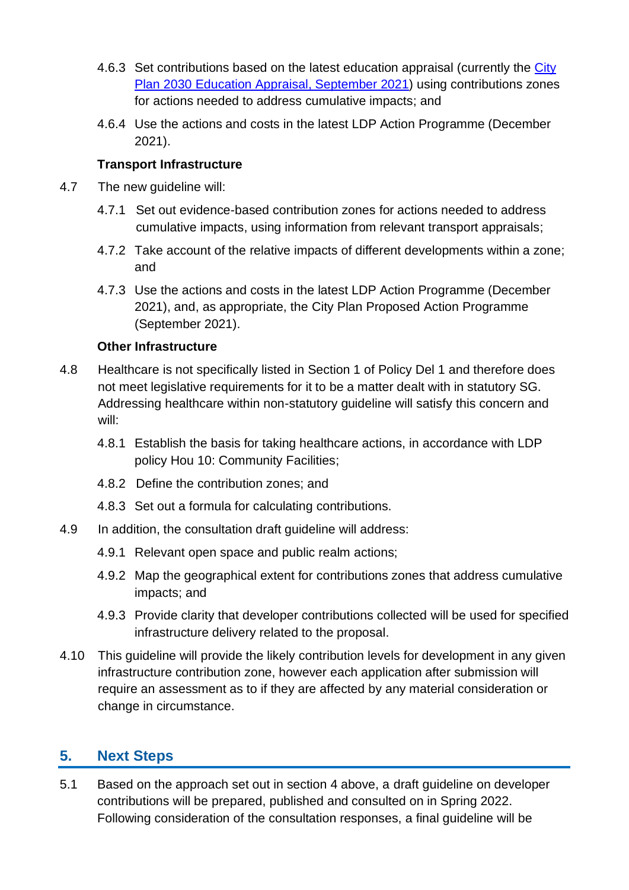- 4.6.3 Set contributions based on the latest education appraisal (currently the [City](https://www.edinburgh.gov.uk/downloads/file/30008/education-appraisal)  Plan 2030 [Education Appraisal, September 2021\)](https://www.edinburgh.gov.uk/downloads/file/30008/education-appraisal) using contributions zones for actions needed to address cumulative impacts; and
- 4.6.4 Use the actions and costs in the latest LDP Action Programme (December 2021).

#### **Transport Infrastructure**

- 4.7 The new guideline will:
	- 4.7.1 Set out evidence-based contribution zones for actions needed to address cumulative impacts, using information from relevant transport appraisals;
	- 4.7.2 Take account of the relative impacts of different developments within a zone; and
	- 4.7.3 Use the actions and costs in the latest LDP Action Programme (December 2021), and, as appropriate, the City Plan Proposed Action Programme (September 2021).

#### **Other Infrastructure**

- 4.8 Healthcare is not specifically listed in Section 1 of Policy Del 1 and therefore does not meet legislative requirements for it to be a matter dealt with in statutory SG. Addressing healthcare within non-statutory guideline will satisfy this concern and will:
	- 4.8.1 Establish the basis for taking healthcare actions, in accordance with LDP policy Hou 10: Community Facilities;
	- 4.8.2 Define the contribution zones; and
	- 4.8.3 Set out a formula for calculating contributions.
- 4.9 In addition, the consultation draft guideline will address:
	- 4.9.1 Relevant open space and public realm actions;
	- 4.9.2 Map the geographical extent for contributions zones that address cumulative impacts; and
	- 4.9.3 Provide clarity that developer contributions collected will be used for specified infrastructure delivery related to the proposal.
- 4.10 This guideline will provide the likely contribution levels for development in any given infrastructure contribution zone, however each application after submission will require an assessment as to if they are affected by any material consideration or change in circumstance.

### **5. Next Steps**

5.1 Based on the approach set out in section 4 above, a draft guideline on developer contributions will be prepared, published and consulted on in Spring 2022. Following consideration of the consultation responses, a final guideline will be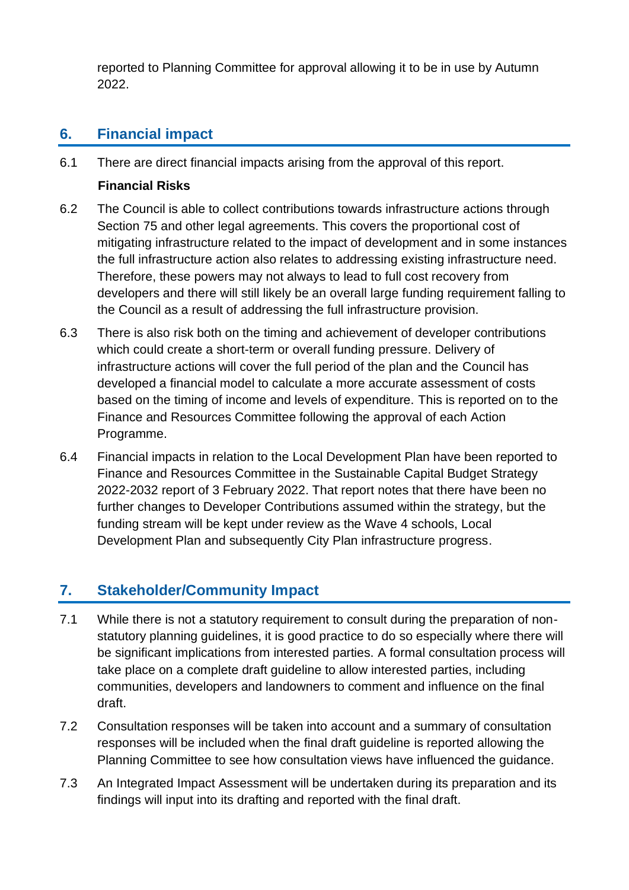reported to Planning Committee for approval allowing it to be in use by Autumn 2022.

## **6. Financial impact**

6.1 There are direct financial impacts arising from the approval of this report.

#### **Financial Risks**

- 6.2 The Council is able to collect contributions towards infrastructure actions through Section 75 and other legal agreements. This covers the proportional cost of mitigating infrastructure related to the impact of development and in some instances the full infrastructure action also relates to addressing existing infrastructure need. Therefore, these powers may not always to lead to full cost recovery from developers and there will still likely be an overall large funding requirement falling to the Council as a result of addressing the full infrastructure provision.
- 6.3 There is also risk both on the timing and achievement of developer contributions which could create a short-term or overall funding pressure. Delivery of infrastructure actions will cover the full period of the plan and the Council has developed a financial model to calculate a more accurate assessment of costs based on the timing of income and levels of expenditure. This is reported on to the Finance and Resources Committee following the approval of each Action Programme.
- 6.4 Financial impacts in relation to the Local Development Plan have been reported to Finance and Resources Committee in the Sustainable Capital Budget Strategy 2022-2032 report of 3 February 2022. That report notes that there have been no further changes to Developer Contributions assumed within the strategy, but the funding stream will be kept under review as the Wave 4 schools, Local Development Plan and subsequently City Plan infrastructure progress.

### **7. Stakeholder/Community Impact**

- 7.1 While there is not a statutory requirement to consult during the preparation of nonstatutory planning guidelines, it is good practice to do so especially where there will be significant implications from interested parties. A formal consultation process will take place on a complete draft guideline to allow interested parties, including communities, developers and landowners to comment and influence on the final draft.
- 7.2 Consultation responses will be taken into account and a summary of consultation responses will be included when the final draft guideline is reported allowing the Planning Committee to see how consultation views have influenced the guidance.
- 7.3 An Integrated Impact Assessment will be undertaken during its preparation and its findings will input into its drafting and reported with the final draft.